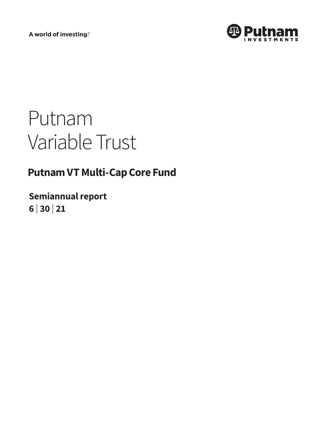A world of investing®



# Putnam Variable Trust

# **Putnam VT Multi-Cap Core Fund**

**Semiannual report 6 <sup>|</sup> 30 <sup>|</sup> 21**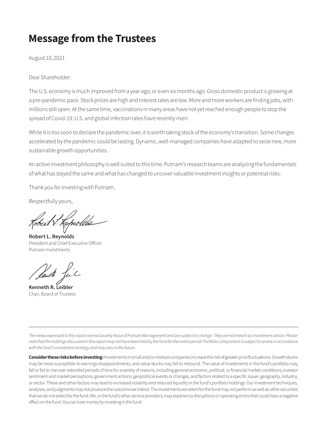# **Message from the Trustees**

August 10, 2021

Dear Shareholder:

The U.S. economy is much improved from a year ago, or even six months ago. Gross domestic product is growing at a pre-pandemic pace. Stock prices are high and interest rates are low. More and more workers are finding jobs, with millions still open. At the same time, vaccinations in many areas have not yet reached enough people to stop the spread of Covid-19. U.S. and global infection rates have recently risen.

While it is too soon to declare the pandemic over, it is worth taking stock of the economy's transition. Some changes accelerated by the pandemic could be lasting. Dynamic, well-managed companies have adapted to seize new, more sustainable growth opportunities.

An active investment philosophy is well suited to this time. Putnam's research teams are analyzing the fundamentals of what has stayed the same and what has changed to uncover valuable investment insights or potential risks.

Thank you for investing with Putnam.

Respectfully yours,

**Robert L. Reynolds** President and Chief Executive Officer Putnam Investments

**Kenneth R. Leibler** Chair, Board of Trustees

*The views expressed in this report are exclusively those of Putnam Management and are subject to change. They are not meant as investment advice. Please note that the holdings discussed in this report may not have been held by the fund for the entire period. Portfolio composition is subject to review in accordance with the fund's investment strategy and may vary in the future.*

**Consider these risks before investing:** Investments in small and/or midsize companies increase the risk of greater price fluctuations. Growth stocks may be more susceptible to earnings disappointments, and value stocks may fail to rebound. The value of investments in the fund's portfolio may fall or fail to rise over extended periods of time for a variety of reasons, including general economic, political, or financial market conditions; investor sentiment and market perceptions; government actions; geopolitical events or changes; and factors related to a specific issuer, geography, industry, or sector. These and other factors may lead to increased volatility and reduced liquidity in the fund's portfolio holdings. Our investment techniques, analyses, and judgments may not produce the outcome we intend. The investments we select for the fund may not perform as well as other securities that we do not select for the fund. We, or the fund's other service providers, may experience disruptions or operating errors that could have a negative effect on the fund. You can lose money by investing in the fund.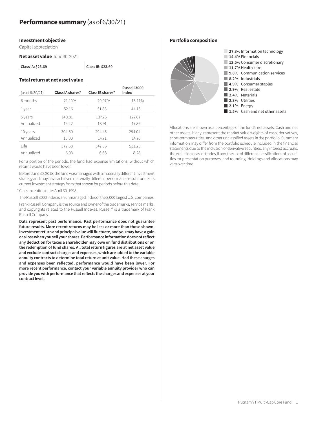#### **Investment objective**

Capital appreciation

**Net asset value** June 30, 2021

| Class IA: \$23.69 |  |
|-------------------|--|
|-------------------|--|

#### **Total return at net asset value**

| (as of 6/30/21)        | Class IA shares* | Class IB shares* | Russell 3000<br>Index |
|------------------------|------------------|------------------|-----------------------|
| 6 months               | 21.10%           | 20.97%           | 15.11%                |
| 1 year                 | 52.16            | 51.83            | 44.16                 |
| 5 years<br>Annualized  | 140.81<br>19.22  | 137.76<br>18.91  | 127.67<br>17.89       |
| 10 years<br>Annualized | 304.50<br>15.00  | 294.45<br>14.71  | 294.04<br>14.70       |
| l ife                  | 372.58           | 347.36           | 531.23                |
| Annualized             | 6.93             | 6.68             | 8.28                  |

**Class IA: \$23.69 Class IB: \$23.60**

For a portion of the periods, the fund had expense limitations, without which returns would have been lower.

Before June 30, 2018, the fund was managed with a materially different investment strategy and may have achieved materially different performance results under its current investment strategy from that shown for periods before this date.

\*Class inception date: April 30, 1998.

The Russell 3000 Index is an unmanaged index of the 3,000 largest U.S. companies.

Frank Russell Company is the source and owner of the trademarks, service marks, and copyrights related to the Russell Indexes. Russell® is a trademark of Frank Russell Company.

**Data represent past performance. Past performance does not guarantee future results. More recent returns may be less or more than those shown. Investment return and principal value will fluctuate, and you may have a gain or a loss when you sell your shares. Performance information does not reflect any deduction for taxes a shareholder may owe on fund distributions or on the redemption of fund shares. All total return figures are at net asset value and exclude contract charges and expenses, which are added to the variable annuity contracts to determine total return at unit value. Had these charges and expenses been reflected, performance would have been lower. For more recent performance, contact your variable annuity provider who can provide you with performance that reflects the charges and expenses at your contract level.**

**Portfolio composition**



Allocations are shown as a percentage of the fund's net assets. Cash and net other assets, if any, represent the market value weights of cash, derivatives, short-term securities, and other unclassified assets in the portfolio. Summary information may differ from the portfolio schedule included in the financial statements due to the inclusion of derivative securities, any interest accruals, the exclusion of as-of trades, if any, the use of different classifications of securities for presentation purposes, and rounding. Holdings and allocations may vary over time.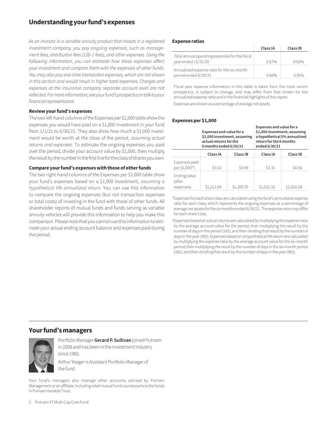# **Understanding your fund's expenses**

*As an investor in a variable annuity product that invests in a registered investment company, you pay ongoing expenses, such as management fees, distribution fees (12b-1 fees), and other expenses. Using the following information, you can estimate how these expenses affect your investment and compare them with the expenses of other funds. You may also pay one-time transaction expenses, which are not shown in this section and would result in higher total expenses. Charges and*  expenses at the insurance company separate account level are not *reflected. For more information, see your fund's prospectus or talk to your financial representative.*

#### **Review your fund's expenses**

The two left-hand columns of the Expenses per \$1,000 table show the expenses you would have paid on a \$1,000 investment in your fund from  $1/1/21$  to  $6/30/21$ . They also show how much a \$1,000 investment would be worth at the close of the period, *assuming actual returns and expenses.* To estimate the ongoing expenses you paid over the period, divide your account value by \$1,000, then multiply the result by the number in the first line for the class of shares you own.

#### **Compare your fund's expenses with those of other funds**

The two right-hand columns of the Expenses per \$1,000 table show your fund's expenses based on a \$1,000 investment, *assuming a hypothetical 5% annualized return.* You can use this information to compare the ongoing expenses (but not transaction expenses or total costs) of investing in the fund with those of other funds. All shareholder reports of mutual funds and funds serving as variable annuity vehicles will provide this information to help you make this comparison. Please note that you cannot use this information to estimate your actual ending account balance and expenses paid during the period.

#### **Expense ratios**

|                                                                       | Class IA | Class IB |
|-----------------------------------------------------------------------|----------|----------|
| Total annual operating expenses for the fiscal<br>year ended 12/31/20 | 0.67%    | 0.92%    |
| Annualized expense ratio for the six-month<br>period ended 6/30/21    | 0.66%    | 0.91%    |

Fiscal year expense information in this table is taken from the most recent prospectus, is subject to change, and may differ from that shown for the annualized expense ratio and in the financial highlights of this report.

Expenses are shown as a percentage of average net assets.

#### **Expenses per \$1,000**

|                                     | Expenses and value for a<br>\$1,000 investment, assuming<br>actual returns for the<br>6 months ended 6/30/21 |            | Expenses and value for a<br>\$1,000 investment, assuming<br>return for the 6 months<br>ended 6/30/21 | a hypothetical 5% annualized |
|-------------------------------------|--------------------------------------------------------------------------------------------------------------|------------|------------------------------------------------------------------------------------------------------|------------------------------|
|                                     | Class IA                                                                                                     | Class IB   | Class IA                                                                                             | Class IB                     |
| Expenses paid<br>per \$1,000*†      | \$3.62                                                                                                       | \$4.99     | \$3.31                                                                                               | \$4.56                       |
| Ending value<br>(after<br>expenses) | \$1,211.00                                                                                                   | \$1,209.70 | \$1,021.52                                                                                           | \$1,020.28                   |

\*Expenses for each share class are calculated using the fund's annualized expense ratio for each class, which represents the ongoing expenses as a percentage of average net assets for the six months ended 6/30/21. The expense ratio may differ for each share class.

†Expenses based on actual returns are calculated by multiplying the expense ratio by the average account value for the period; then multiplying the result by the number of days in the period (181); and then dividing that result by the number of days in the year (365). Expenses based on a hypothetical 5% return are calculated by multiplying the expense ratio by the average account value for the six-month period; then multiplying the result by the number of days in the six-month period (181); and then dividing that result by the number of days in the year (365).

### **Your fund's managers**



Portfolio Manager **Gerard P. Sullivan** joined Putnam in 2008 and has been in the investment industry since 1982.

Arthur Yeager is Assistant Portfolio Manager of the fund.

Your fund's managers also manage other accounts advised by Putnam Management or an affiliate, including retail mutual fund counterparts to the funds in Putnam Variable Trust.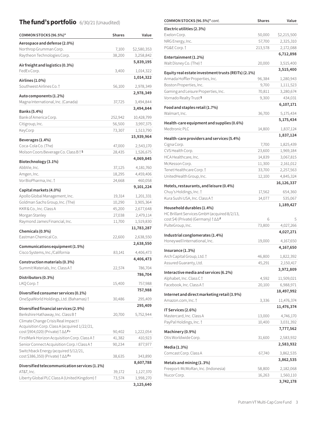# **The fund's portfolio** 6/30/21 (Unaudited) **COMMON STOCKS (96.5%)**\* *cont.* Shares Value

| COMMON STOCKS (96.5%)*                                                                 | <b>Shares</b> | Value                |
|----------------------------------------------------------------------------------------|---------------|----------------------|
| Aerospace and defense (2.0%)                                                           |               |                      |
| Northrop Grumman Corp.                                                                 | 7,100         | \$2,580,353          |
| Raytheon Technologies Corp.                                                            | 38,200        | 3,258,842            |
| Air freight and logistics (0.3%)                                                       |               | 5,839,195            |
| FedEx Corp.                                                                            | 3,400         | 1,014,322            |
| Airlines (1.0%)                                                                        |               | 1,014,322            |
| Southwest Airlines Co. 1                                                               | 56,100        | 2,978,349            |
|                                                                                        |               | 2,978,349            |
| Auto components (1.2%)<br>Magna International, Inc. (Canada)                           | 37,725        | 3,494,844            |
|                                                                                        |               | 3,494,844            |
| Banks (5.4%)                                                                           |               |                      |
| Bank of America Corp.                                                                  | 252,942       | 10,428,799           |
| Citigroup, Inc.                                                                        | 56,500        | 3,997,375            |
| KeyCorp                                                                                | 73,307        | 1,513,790            |
| Beverages (1.4%)                                                                       |               | 15,939,964           |
| Coca-Cola Co. (The)                                                                    | 47,000        | 2,543,170            |
| Molson Coors Beverage Co. Class B <sup>+</sup> S                                       | 28,435        | 1,526,675            |
| Biotechnology (3.1%)                                                                   |               | 4,069,845            |
| AbbVie, Inc.                                                                           | 37,125        | 4,181,760            |
| Amgen, Inc.                                                                            | 18,295        | 4,459,406            |
| Vor BioPharma, Inc. †                                                                  | 24,668        | 460,058              |
| Capital markets (4.0%)                                                                 |               | 9,101,224            |
| Apollo Global Management, Inc.                                                         | 19,314        | 1,201,331            |
| Goldman Sachs Group, Inc. (The)                                                        | 10,290        | 3,905,364            |
| KKR & Co., Inc. Class A                                                                | 45,200        | 2,677,648            |
| Morgan Stanley                                                                         | 27,038        | 2,479,114            |
| Raymond James Financial, Inc.                                                          | 11,700        | 1,519,830            |
| Chemicals (0.9%)                                                                       |               | 11,783,287           |
| Eastman Chemical Co.                                                                   | 22,600        | 2,638,550            |
|                                                                                        |               | 2,638,550            |
| Communications equipment (1.5%)<br>Cisco Systems, Inc./California                      | 83,141        | 4,406,473            |
|                                                                                        |               | 4,406,473            |
| Construction materials (0.3%)                                                          |               |                      |
| Summit Materials, Inc. Class A †                                                       | 22,574        | 786,704              |
| Distributors (0.3%)                                                                    |               | 786,704              |
| LKQ Corp.†                                                                             | 15,400        | 757,988              |
| Diversified consumer services (0.1%)                                                   |               | 757,988              |
| OneSpaWorld Holdings, Ltd. (Bahamas) †                                                 | 30,486        | 295,409              |
|                                                                                        |               | 295,409              |
| Diversified financial services (2.9%)<br>Berkshire Hathaway, Inc. Class B <sup>+</sup> | 20,700        | 5,752,944            |
| Climate Change Crisis Real Impact I                                                    |               |                      |
| Acquisition Corp. Class A (acquired 1/22/21,                                           |               |                      |
| cost \$904,020) (Private) † ∆∆ F <sup>p</sup>                                          | 90,402        | 1,222,054            |
| FirstMark Horizon Acquisition Corp. Class A                                            | 41,382        | 410,923              |
| Senior Connect Acquisition Corp. I Class A +                                           | 90,234        | 877,977              |
| Switchback Energy (acquired 5/12/21,<br>cost \$386,350) (Private) † ∆∆ F               |               |                      |
|                                                                                        | 38,635        | 343,890<br>8,607,788 |
| Diversified telecommunication services (1.1%)                                          |               |                      |
| AT&T, Inc.                                                                             | 39,172        | 1,127,370            |
| Liberty Global PLC Class A (United Kingdom) †                                          | 73,574        | 1,998,270            |
|                                                                                        |               | 3,125,640            |

| COMMUN 31 UCN3 (90.3%) COMC                                                            | ənares          | value                  |
|----------------------------------------------------------------------------------------|-----------------|------------------------|
| Electric utilities (2.3%)                                                              |                 |                        |
| Exelon Corp.                                                                           | 50,000          | \$2,215,500            |
| NRG Energy, Inc.                                                                       | 57,700          | 2,325,310              |
| PG&E Corp.†                                                                            | 213,578         | 2,172,088              |
| Entertainment (1.2%)                                                                   |                 | 6,712,898              |
| Walt Disney Co. (The) †                                                                | 20,000          | 3,515,400              |
|                                                                                        |                 | 3,515,400              |
| Equity real estate investment trusts (REITs) (2.1%)<br>Armada Hoffler Properties, Inc. |                 |                        |
|                                                                                        | 96,384          | 1,280,943              |
| Boston Properties, Inc.<br>Gaming and Leisure Properties, Inc.                         | 9,700<br>70,811 | 1,111,523<br>3,280,674 |
| Vornado Realty Trust <sup>s</sup>                                                      | 9,300           | 434,031                |
|                                                                                        |                 | 6,107,171              |
| Food and staples retail (1.7%)                                                         |                 |                        |
| Walmart, Inc.                                                                          | 36,700          | 5,175,434              |
| Health-care equipment and supplies (0.6%)                                              |                 | 5,175,434              |
| Medtronic PLC                                                                          | 14,800          | 1,837,124              |
| Health-care providers and services (5.4%)                                              |                 | 1,837,124              |
| Cigna Corp.                                                                            | 7,700           | 1,825,439              |
| CVS Health Corp.                                                                       | 23,600          | 1,969,184              |
| HCA Healthcare, Inc.                                                                   | 14,839          | 3,067,815              |
| McKesson Corp.                                                                         | 11,300          | 2,161,012              |
| Tenet Healthcare Corp. †                                                               | 33,700          | 2,257,563              |
| UnitedHealth Group, Inc.                                                               | 12,100          | 4,845,324              |
|                                                                                        |                 | 16,126,337             |
| Hotels, restaurants, and leisure (0.4%)<br>Chuy's Holdings, Inc. 1                     | 17,562          | 654,360                |
| Kura Sushi USA, Inc. Class A †                                                         | 14,077          | 535,067                |
|                                                                                        |                 | 1,189,427              |
| Household durables (1.4%)                                                              |                 |                        |
| HC Brillant Services GmbH (acquired 8/2/13,                                            | 6               | 5                      |
| cost \$4) (Private) (Germany) † ∆∆ F<br>PulteGroup, Inc.                               | 73,800          | 4,027,266              |
|                                                                                        |                 | 4,027,271              |
| Industrial conglomerates (1.4%)                                                        |                 |                        |
| Honeywell International, Inc.                                                          | 19,000          | 4,167,650              |
| Insurance (1.3%)                                                                       |                 | 4,167,650              |
| Arch Capital Group, Ltd. †                                                             | 46,800          | 1,822,392              |
| Assured Guaranty, Ltd.                                                                 | 45,291          | 2,150,417              |
| Interactive media and services (6.2%)                                                  |                 | 3,972,809              |
| Alphabet, Inc. Class C†                                                                | 4,592           | 11,509,021             |
| Facebook, Inc. Class At                                                                | 20,100          | 6,988,971              |
|                                                                                        |                 | 18,497,992             |
| Internet and direct marketing retail (3.9%)                                            |                 |                        |
| Amazon.com, Inc. †                                                                     | 3,336           | 11,476,374             |
| IT Services (2.6%)                                                                     |                 | 11,476,374             |
| Mastercard, Inc. Class A                                                               | 13,000          | 4,746,170              |
| PayPal Holdings, Inc. †                                                                | 10,400          | 3,031,392              |
| Machinery (0.9%)                                                                       |                 | 7,777,562              |
| Otis Worldwide Corp.                                                                   | 31,600          | 2,583,932              |
|                                                                                        |                 | 2,583,932              |
| Media (1.3%)                                                                           |                 |                        |
| Comcast Corp. Class A                                                                  | 67,740          | 3,862,535<br>3,862,535 |
| Metals and mining (1.3%)                                                               |                 |                        |
| Freeport-McMoRan, Inc. (Indonesia)                                                     | 58,800          | 2,182,068              |
| Nucor Corp.                                                                            | 16,263          | 1,560,110              |
|                                                                                        |                 | 3,742,178              |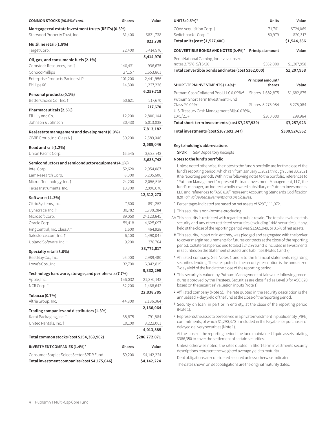| COMMON STOCKS (96.5%)* cont.                          | <b>Shares</b> | Value         |
|-------------------------------------------------------|---------------|---------------|
| Mortgage real estate investment trusts (REITs) (0.3%) |               |               |
| Starwood Property Trust, Inc.                         | 31,400        | \$821,738     |
|                                                       |               | 821,738       |
| Multiline retail (1.8%)<br>Target Corp.               | 22,400        | 5,414,976     |
|                                                       |               | 5,414,976     |
| Oil, gas, and consumable fuels (2.1%)                 |               |               |
| Comstock Resources, Inc. 1                            | 140,431       | 936,675       |
| ConocoPhillips                                        | 27,157        | 1,653,861     |
| Enterprise Products Partners LP                       | 101,200       | 2,441,956     |
| Phillips 66                                           | 14,300        | 1,227,226     |
| Personal products (0.1%)                              |               | 6,259,718     |
| Better Choice Co., Inc. 1                             | 50,621        | 217,670       |
|                                                       |               | 217,670       |
| Pharmaceuticals (2.5%)                                |               |               |
| Eli Lilly and Co.                                     | 12,200        | 2,800,144     |
| Johnson & Johnson                                     | 30,430        | 5,013,038     |
| Real estate management and development (0.9%)         |               | 7,813,182     |
| CBRE Group, Inc. Class A +                            | 30,200        | 2,589,046     |
| Road and rail (1.2%)                                  |               | 2,589,046     |
| Union Pacific Corp.                                   | 16,545        | 3,638,742     |
|                                                       |               | 3,638,742     |
| Semiconductors and semiconductor equipment (4.1%)     |               |               |
| Intel Corp.                                           | 52,620        | 2,954,087     |
| Lam Research Corp.                                    | 8,000         | 5,205,600     |
| Micron Technology, Inc. †                             | 24,200        | 2,056,516     |
| Texas Instruments, Inc.                               | 10,900        | 2,096,070     |
| Software (11.3%)                                      |               | 12,312,273    |
| Citrix Systems, Inc.                                  | 7,600         | 891,252       |
| Dynatrace, Inc. †                                     | 30,782        | 1,798,284     |
| Microsoft Corp.                                       | 89,050        | 24,123,645    |
| Oracle Corp.                                          | 59,418        | 4,625,097     |
| RingCentral, Inc. Class A                             | 1,600         | 464,928       |
| Salesforce.com, Inc. t                                | 6,100         | 1,490,047     |
| Upland Software, Inc.                                 | 9,200         | 378,764       |
|                                                       |               | 33,772,017    |
| Specialty retail (3.0%)<br>Best Buy Co., Inc.         | 26,000        | 2,989,480     |
| Lowe's Cos., Inc.                                     | 32,700        | 6,342,819     |
|                                                       |               | 9,332,299     |
| Technology hardware, storage, and peripherals (7.7%)  |               |               |
| Apple, Inc.                                           | 156,032       | 21,370,143    |
| NCR Corp. †                                           | 32,200        | 1,468,642     |
| Tobacco (0.7%)                                        |               | 22,838,785    |
| Altria Group, Inc.                                    | 44,800        | 2,136,064     |
|                                                       |               | 2,136,064     |
| Trading companies and distributors (1.3%)             |               |               |
| Karat Packaging, Inc. †                               | 38,875        | 791,884       |
| United Rentals, Inc. †                                | 10,100        | 3,222,001     |
|                                                       |               | 4,013,885     |
| Total common stocks (cost \$154,369,962)              |               | \$286,772,071 |
| <b>INVESTMENT COMPANIES (1.4%)*</b>                   | Shares        | Value         |
| Consumer Staples Select Sector SPDR Fund              | 59,200        | \$4,142,224   |
| Total investment companies (cost \$4,175,046)         |               | \$4,142,224   |

| UNITS (0.5%)*                                                     | <b>Units</b>                | Value       |
|-------------------------------------------------------------------|-----------------------------|-------------|
| COVA Acquisition Corp.                                            | 71,761                      | \$724,069   |
| Switchback II Corp. †                                             | 80,979                      | 820,317     |
| Total units (cost \$1,527,400)                                    |                             | \$1,544,386 |
| CONVERTIBLE BONDS AND NOTES (0.4%)*                               | <b>Principal amount</b>     | Value       |
| Penn National Gaming, Inc. cv. sr. unsec.<br>notes 2.75%, 5/15/26 | \$362,000                   | \$1,207,958 |
| Total convertible bonds and notes (cost \$362,000)                | \$1,207,958                 |             |
|                                                                   |                             |             |
| SHORT-TERM INVESTMENTS (2.4%)*                                    | Principal amount/<br>shares | Value       |
| Putnam Cash Collateral Pool, LLC 0.09% d                          | Shares 1,682,875            | \$1,682,875 |
| Putnam Short Term Investment Fund<br>$ClassP0.09\%L$              | Shares 5,275,084            | 5,275,084   |
| U.S. Treasury Cash Management Bills 0.026%,<br>$10/5/21$ #        | \$300,000                   | 299,964     |
| Total short-term investments (cost \$7,257,939)                   |                             | \$7,257,923 |

#### **Key to holding's abbreviations**

SPDR S&P Depository Receipts

#### **Notes to the fund's portfolio**

Unless noted otherwise, the notes to the fund's portfolio are for the close of the fund's reporting period, which ran from January 1, 2021 through June 30, 2021 (the reporting period). Within the following notes to the portfolio, references to "Putnam Management" represent Putnam Investment Management, LLC, the fund's manager, an indirect wholly-owned subsidiary of Putnam Investments, LLC and references to "ASC 820" represent Accounting Standards Codification 820 *Fair Value Measurements and Disclosures*.

- \* Percentages indicated are based on net assets of \$297,111,072.
- † This security is non-income-producing.
- ∆∆ This security is restricted with regard to public resale. The total fair value of this security and any other restricted securities (excluding 144A securities), if any, held at the close of the reporting period was \$1,565,949, or 0.5% of net assets.
- # This security, in part or in entirety, was pledged and segregated with the broker to cover margin requirements for futures contracts at the close of the reporting period. Collateral at period end totaled \$242,976 and is included in Investments in securities on the Statement of assets and liabilities (Notes 1 and 8).
- **<sup>d</sup>** Affiliated company. See Notes 1 and 5 to the financial statements regarding securities lending. The rate quoted in the security description is the annualized 7-day yield of the fund at the close of the reporting period.
- **<sup>F</sup>** This security is valued by Putnam Management at fair value following procedures approved by the Trustees. Securities are classified as Level 3 for ASC 820 based on the securities' valuation inputs (Note 1).
- **<sup>L</sup>** Affiliated company (Note 5). The rate quoted in the security description is the annualized 7-day yield of the fund at the close of the reporting period.
- **<sup>S</sup>** Security on loan, in part or in entirety, at the close of the reporting period (Note 1).
- <sup>ƥ</sup> Represents the asset to be received in a private investment in public entity (PIPE) commitments, of which \$1,290,370 is included in the Payable for purchases of delayed delivery securities (Note 1).

At the close of the reporting period, the fund maintained liquid assets totaling \$386,350 to cover the settlement of certain securities.

Unless otherwise noted, the rates quoted in Short-term investments security descriptions represent the weighted average yield to maturity.

Debt obligations are considered secured unless otherwise indicated.

The dates shown on debt obligations are the original maturity dates.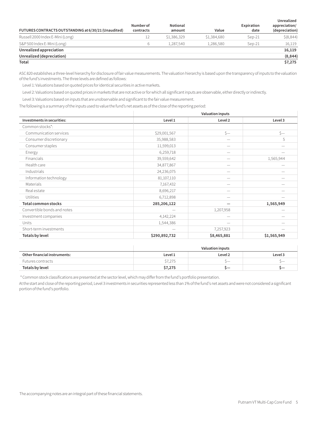| FUTURES CONTRACTS OUTSTANDING at 6/30/21 (Unaudited) | <b>Number of</b><br>contracts | Notional<br>amount | Value       | Expiration<br>date | Unrealized<br>appreciation/<br>(depreciation) |
|------------------------------------------------------|-------------------------------|--------------------|-------------|--------------------|-----------------------------------------------|
| Russell 2000 Index E-Mini (Long)                     | 12                            | \$1,386,329        | \$1,384,680 | Sep-21             | \$ (8,844)                                    |
| S&P 500 Index E-Mini (Long)                          | b                             | 1.287.540          | 1.286.580   | Sep-21             | 16,119                                        |
| Unrealized appreciation                              |                               |                    |             |                    | 16,119                                        |
| Unrealized (depreciation)                            |                               |                    |             |                    | (8, 844)                                      |
| Total                                                |                               |                    |             |                    | \$7,275                                       |

ASC 820 establishes a three-level hierarchy for disclosure of fair value measurements. The valuation hierarchy is based upon the transparency of inputs to the valuation of the fund's investments. The three levels are defined as follows:

Level 1: Valuations based on quoted prices for identical securities in active markets.

Level 2: Valuations based on quoted prices in markets that are not active or for which all significant inputs are observable, either directly or indirectly.

Level 3: Valuations based on inputs that are unobservable and significant to the fair value measurement.

The following is a summary of the inputs used to value the fund's net assets as of the close of the reporting period:

|                             | <b>Valuation inputs</b> |                          |             |  |
|-----------------------------|-------------------------|--------------------------|-------------|--|
| Investments in securities:  | Level 1                 | Level 2<br>Level 3       |             |  |
| Common stocks*:             |                         |                          |             |  |
| Communication services      | \$29,001,567            | $\zeta-$                 | $\zeta-$    |  |
| Consumer discretionary      | 35,988,583              | $\qquad \qquad$          | 5           |  |
| Consumer staples            | 11,599,013              | $\hspace{0.05cm}$        |             |  |
| Energy                      | 6,259,718               |                          |             |  |
| Financials                  | 39,559,642              |                          | 1,565,944   |  |
| Health care                 | 34,877,867              |                          |             |  |
| Industrials                 | 24,236,075              |                          |             |  |
| Information technology      | 81,107,110              |                          |             |  |
| Materials                   | 7,167,432               |                          |             |  |
| Real estate                 | 8,696,217               |                          |             |  |
| <b>Utilities</b>            | 6,712,898               | $\hspace{0.05cm}$        |             |  |
| <b>Total common stocks</b>  | 285,206,122             |                          | 1,565,949   |  |
| Convertible bonds and notes |                         | 1,207,958                |             |  |
| Investment companies        | 4,142,224               |                          |             |  |
| Units                       | 1,544,386               | $\overline{\phantom{m}}$ |             |  |
| Short-term investments      |                         | 7,257,923                |             |  |
| <b>Totals by level</b>      | \$290,892,732           | \$8,465,881              | \$1,565,949 |  |

|                              | Valuation inputs              |                          |  |  |
|------------------------------|-------------------------------|--------------------------|--|--|
| Other financial instruments: | Level 3<br>Level 1<br>Level 2 |                          |  |  |
| Futures contracts            | \$7,275                       | $\overline{\phantom{a}}$ |  |  |
| Totals by level              | \$7,275                       |                          |  |  |

\* Common stock classifications are presented at the sector level, which may differ from the fund's portfolio presentation.

At the start and close of the reporting period, Level 3 investments in securities represented less than 1% of the fund's net assets and were not considered a significant portion of the fund's portfolio.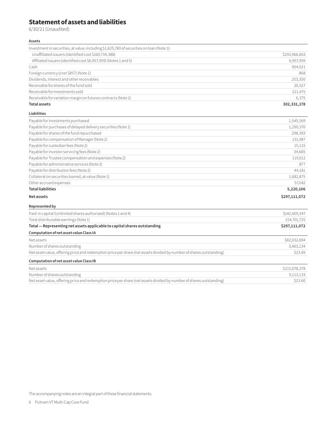# **Statement of assets and liabilities**

6/30/21 (Unaudited)

#### **Assets**

| Investment in securities, at value, including \$1,625,780 of securities on loan (Note 1):                           |               |
|---------------------------------------------------------------------------------------------------------------------|---------------|
| Unaffiliated issuers (identified cost \$160,734,388)                                                                | \$293,966,603 |
| Affiliated issuers (identified cost \$6,957,959) (Notes 1 and 5)                                                    | 6,957,959     |
| Cash                                                                                                                | 904,021       |
| Foreign currency (cost \$857) (Note 1)                                                                              | 868           |
| Dividends, interest and other receivables                                                                           | 253,350       |
| Receivable for shares of the fund sold                                                                              | 20,527        |
| Receivable for investments sold                                                                                     | 221,475       |
| Receivable for variation margin on futures contracts (Note 1)                                                       | 6,375         |
| <b>Total assets</b>                                                                                                 | 302,331,178   |
| Liabilities                                                                                                         |               |
| Payable for investments purchased                                                                                   | 1,545,569     |
| Payable for purchases of delayed delivery securities (Note 1)                                                       | 1,290,370     |
| Payable for shares of the fund repurchased                                                                          | 298,393       |
| Payable for compensation of Manager (Note 2)                                                                        | 131,987       |
| Payable for custodian fees (Note 2)                                                                                 | 15,115        |
| Payable for investor servicing fees (Note 2)                                                                        | 34,685        |
| Payable for Trustee compensation and expenses (Note 2)                                                              | 119,012       |
| Payable for administrative services (Note 2)                                                                        | 877           |
| Payable for distribution fees (Note 2)                                                                              | 44,181        |
| Collateral on securities loaned, at value (Note 1)                                                                  | 1,682,875     |
| Other accrued expenses                                                                                              | 57,042        |
| <b>Total liabilities</b>                                                                                            | 5,220,106     |
| <b>Net assets</b>                                                                                                   | \$297,111,072 |
| Represented by                                                                                                      |               |
| Paid-in capital (Unlimited shares authorized) (Notes 1 and 4)                                                       | \$142,409,347 |
| Total distributable earnings (Note 1)                                                                               | 154,701,725   |
| Total - Representing net assets applicable to capital shares outstanding                                            | \$297,111,072 |
| Computation of net asset value Class IA                                                                             |               |
| Net assets                                                                                                          | \$82,032,694  |
| Number of shares outstanding                                                                                        | 3,463,134     |
| Net asset value, offering price and redemption price per share (net assets divided by number of shares outstanding) | \$23.69       |
| Computation of net asset value Class IB                                                                             |               |
| Net assets                                                                                                          | \$215,078,378 |
| Number of shares outstanding                                                                                        | 9,113,133     |

Net asset value, offering price and redemption price per share (net assets divided by number of shares outstanding) \$23.60

The accompanying notes are an integral part of these financial statements.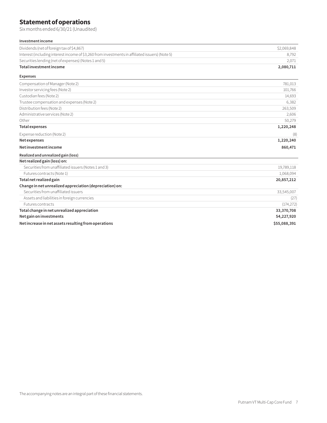# **Statement of operations**

Six months ended 6/30/21 (Unaudited)

#### **Investment income**

| Dividends (net of foreign tax of \$4,867)                                                       | \$2,069,848  |
|-------------------------------------------------------------------------------------------------|--------------|
| Interest (including interest income of \$3,260 from investments in affiliated issuers) (Note 5) | 8,792        |
| Securities lending (net of expenses) (Notes 1 and 5)                                            | 2,071        |
| Total investment income                                                                         | 2,080,711    |
| <b>Expenses</b>                                                                                 |              |
| Compensation of Manager (Note 2)                                                                | 781,013      |
| Investor servicing fees (Note 2)                                                                | 101,766      |
| Custodian fees (Note 2)                                                                         | 14,693       |
| Trustee compensation and expenses (Note 2)                                                      | 6,382        |
| Distribution fees (Note 2)                                                                      | 263,509      |
| Administrative services (Note 2)                                                                | 2,606        |
| Other                                                                                           | 50,279       |
| <b>Total expenses</b>                                                                           | 1,220,248    |
| Expense reduction (Note 2)                                                                      | (8)          |
| Net expenses                                                                                    | 1,220,240    |
| Net investment income                                                                           | 860,471      |
| Realized and unrealized gain (loss)                                                             |              |
| Net realized gain (loss) on:                                                                    |              |
| Securities from unaffiliated issuers (Notes 1 and 3)                                            | 19,789,118   |
| Futures contracts (Note 1)                                                                      | 1,068,094    |
| Total net realized gain                                                                         | 20,857,212   |
| Change in net unrealized appreciation (depreciation) on:                                        |              |
| Securities from unaffiliated issuers                                                            | 33,545,007   |
| Assets and liabilities in foreign currencies                                                    | (27)         |
| <b>Futures contracts</b>                                                                        | (174, 272)   |
| Total change in net unrealized appreciation                                                     | 33,370,708   |
| Net gain on investments                                                                         | 54,227,920   |
| Net increase in net assets resulting from operations                                            | \$55,088,391 |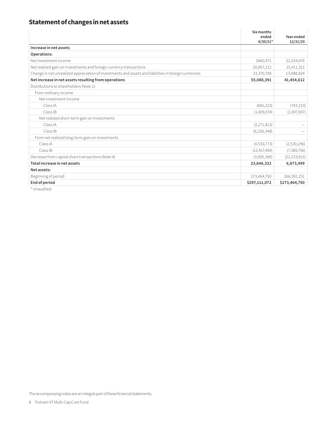# **Statement of changes in net assets**

|                                                                                                       | Six months<br>ended<br>$6/30/21*$ | Year ended<br>12/31/20 |
|-------------------------------------------------------------------------------------------------------|-----------------------------------|------------------------|
| Increase in net assets                                                                                |                                   |                        |
| Operations:                                                                                           |                                   |                        |
| Net investment income                                                                                 | \$860,471                         | \$2,554,476            |
| Net realized gain on investments and foreign currency transactions                                    | 20,857,212                        | 25,411,312             |
| Change in net unrealized appreciation of investments and assets and liabilities in foreign currencies | 33,370,708                        | 13,488,824             |
| Net increase in net assets resulting from operations                                                  | 55,088,391                        | 41,454,612             |
| Distributions to shareholders (Note 1):                                                               |                                   |                        |
| From ordinary income                                                                                  |                                   |                        |
| Net investment income                                                                                 |                                   |                        |
| Class IA                                                                                              | (681, 223)                        | (743, 233)             |
| Class IB                                                                                              | (1,409,074)                       | (1,697,907)            |
| Net realized short-term gain on investments                                                           |                                   |                        |
| Class IA                                                                                              | (2,271,813)                       |                        |
| Class IB                                                                                              | (6, 226, 348)                     |                        |
| From net realized long-term gain on investments                                                       |                                   |                        |
| Class IA                                                                                              | (4,530,773)                       | (2,530,296)            |
| Class IB                                                                                              | (12, 417, 469)                    | (7,389,756)            |
| Decrease from capital share transactions (Note 4)                                                     | (3,905,369)                       | (22, 219, 921)         |
| Total increase in net assets                                                                          | 23,646,322                        | 6,873,499              |
| Net assets:                                                                                           |                                   |                        |
| Beginning of period                                                                                   | 273,464,750                       | 266,591,251            |
| End of period                                                                                         | \$297,111,072                     | \$273,464,750          |

\* Unaudited.

The accompanying notes are an integral part of these financial statements.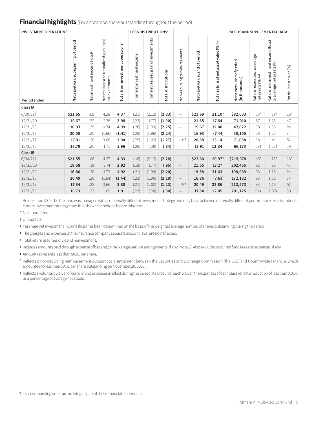#### **Financial highlights** (For a common share outstanding throughout the period)

| <b>INVESTMENT OPERATIONS:</b> |                                      |                                           |                                                              |                                  | <b>LESS DISTRIBUTIONS:</b> |                                          |                            | <b>RATIOS AND SUPPLEMENTAL DATA:</b> |                               |                                        |                                               |                                                    |                                                                    |                      |
|-------------------------------|--------------------------------------|-------------------------------------------|--------------------------------------------------------------|----------------------------------|----------------------------|------------------------------------------|----------------------------|--------------------------------------|-------------------------------|----------------------------------------|-----------------------------------------------|----------------------------------------------------|--------------------------------------------------------------------|----------------------|
| Period ended                  | Net asset value, beginning of period | Net investment income (loss) <sup>a</sup> | unrealized gain (loss)<br>Net realized and<br>on investments | Total from investment operations | From net investment income | gain on investments<br>From net realized | <b>Total distributions</b> | Non-recurring reimbursements         | Net assetvalue, end of period | Total return at net asset value (%)b,c | end of period<br>(in thousands)<br>Netassets, | Ratio of expenses to average<br>net assets (%) b,d | Ratio of net investment income (loss)<br>to average net assets (%) | Portfolioturnover(%) |
| Class IA                      |                                      |                                           |                                                              |                                  |                            |                                          |                            |                                      |                               |                                        |                                               |                                                    |                                                                    |                      |
| 6/30/21                       | \$21.65                              | .09                                       | 4.28                                                         | 4.37                             | (.21)                      | (2.12)                                   | (2.33)                     | $\qquad \qquad -$                    | \$23.69                       | $21.10*$                               | \$82,033                                      | $.33*$                                             | $.39*$                                                             | $16*$                |
| 12/31/20                      | 19.67                                | .22                                       | 2.76                                                         | 2.98                             | (.23)                      | (.77)                                    | (1.00)                     | $\overline{\phantom{m}}$             | 21.65                         | 17.64                                  | 71,010                                        | .67                                                | 1.23                                                               | 47                   |
| 12/31/19                      | 16.93                                | .25                                       | 4.74                                                         | 4.99                             | (.26)                      | (1.99)                                   | (2.25)                     | $\overline{\phantom{m}}$             | 19.67                         | 32.00                                  | 67,622                                        | .68                                                | 1.38                                                               | 24                   |
| 12/31/18                      | 20.58                                | .25                                       | (1.66)                                                       | (1.41)                           | (.28)                      | (1.96)                                   | (2.24)                     | $\overline{\phantom{m}}$             | 16.93                         | (7.44)                                 | 58,155                                        | .68                                                | 1.27                                                               | 34                   |
| 12/31/17                      | 17.91                                | .26                                       | 3.68                                                         | 3.94                             | (.25)                      | (1.02)                                   | (1.27)                     | $_{\text{e,f}}$                      | 20.58                         | 23.14                                  | 71,088                                        | .68                                                | 1.41                                                               | 51                   |
| 12/31/16                      | 16.79                                | .25                                       | 1.71                                                         | 1.96                             | (.26)                      | (.58)                                    | (.84)                      | $\overline{\phantom{0}}$             | 17.91                         | 12.34                                  | 66,173                                        | $.69$ g                                            | $1.52$ g                                                           | 50                   |
| Class IB                      |                                      |                                           |                                                              |                                  |                            |                                          |                            |                                      |                               |                                        |                                               |                                                    |                                                                    |                      |
| 6/30/21                       | \$21.55                              | .06                                       | 4.27                                                         | 4.33                             | (.16)                      | (2.12)                                   | (2.28)                     | $\overline{\phantom{m}}$             | \$23.60                       | 20.97*                                 | \$215,078                                     | $.45*$                                             | $.26*$                                                             | $16*$                |
| 12/31/20                      | 19.58                                | .18                                       | 2.74                                                         | 2.92                             | (.18)                      | (.77)                                    | (.95)                      | $\overline{\phantom{m}}$             | 21.55                         | 17.27                                  | 202,455                                       | .92                                                | .98                                                                | 47                   |
| 12/31/19                      | 16.86                                | .20                                       | 4.72                                                         | 4.92                             | (.21)                      | (1.99)                                   | (2.20)                     | $\overline{\phantom{0}}$             | 19.58                         | 31.63                                  | 198,969                                       | .93                                                | 1.13                                                               | 24                   |
| 12/31/18                      | 20.49                                | .20                                       | (1.64)                                                       | (1.44)                           | (.23)                      | (1.96)                                   | (2.19)                     | $\qquad \qquad -$                    | 16.86                         | (7.63)                                 | 172,132                                       | .93                                                | 1.02                                                               | 34                   |
| 12/31/17                      | 17.84                                | .22                                       | 3.66                                                         | 3.88                             | (.21)                      | (1.02)                                   | (1.23)                     | $_{\rm -e,f}$                        | 20.49                         | 22.86                                  | 213,573                                       | .93                                                | 1.16                                                               | 51                   |
| 12/31/16                      | 16.73                                | .22                                       | 1.69                                                         | 1.91                             | (.22)                      | (.58)                                    | (.80)                      |                                      | 17.84                         | 12.05                                  | 201,125                                       | .94g                                               | $1.37$ g                                                           | 50                   |

Before June 30, 2018, the fund was managed with a materially different investment strategy and may have achieved materially different performance results under its current investment strategy from that shown for periods before this date.

\* Not annualized.

† Unaudited.

**<sup>a</sup>** Per share net investment income (loss) has been determined on the basis of the weighted average number of shares outstanding during the period.

**<sup>b</sup>** The charges and expenses at the insurance company separate account level are not reflected.

**<sup>c</sup>** Total return assumes dividend reinvestment.

**<sup>d</sup>** Includes amounts paid through expense offset and/or brokerage/service arrangements, if any (Note 2). Also excludes acquired fund fees and expenses, if any.

**<sup>e</sup>** Amount represents less than \$0.01 per share.

**<sup>f</sup>** Reflects a non-recurring reimbursement pursuant to a settlement between the Securities and Exchange Commission (the SEC) and Countrywide Financial which amounted to less than \$0.01 per share outstanding on November 29, 2017.

**<sup>g</sup>** Reflects a voluntary waiver of certain fund expenses in effect during the period. As a result of such waiver, the expenses of each class reflect a reduction of less than 0.01% as a percentage of average net assets.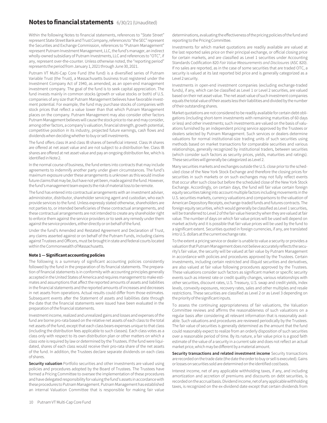### **Notes to financial statements** 6/30/21 (Unaudited)

Within the following Notes to financial statements, references to "State Street" represent State Street Bank and Trust Company, references to "the SEC" represent the Securities and Exchange Commission, references to "Putnam Management" represent Putnam Investment Management, LLC, the fund's manager, an indirect wholly-owned subsidiary of Putnam Investments, LLC and references to "OTC", if any, represent over-the-counter. Unless otherwise noted, the "reporting period" represents the period from January 1, 2021 through June 30, 2021.

Putnam VT Multi-Cap Core Fund (the fund) is a diversified series of Putnam Variable Trust (the Trust), a Massachusetts business trust registered under the Investment Company Act of 1940, as amended, as an open-end management investment company. The goal of the fund is to seek capital appreciation. The fund invests mainly in common stocks (growth or value stocks or both) of U.S. companies of any size that Putnam Management believes have favorable investment potential. For example, the fund may purchase stocks of companies with stock prices that reflect a value lower than that which Putnam Management places on the company. Putnam Management may also consider other factors Putnam Management believes will cause the stock price to rise and may consider, among other factors, a company's valuation, financial strength, growth potential, competitive position in its industry, projected future earnings, cash flows and dividends when deciding whether to buy or sell investments.

The fund offers class IA and class IB shares of beneficial interest. Class IA shares are offered at net asset value and are not subject to a distribution fee. Class IB shares are offered at net asset value and pay an ongoing distribution fee, which is identified in Note 2.

In the normal course of business, the fund enters into contracts that may include agreements to indemnify another party under given circumstances. The fund's maximum exposure under these arrangements is unknown as this would involve future claims that may be, but have not yet been, made against the fund. However, the fund's management team expects the risk of material loss to be remote.

The fund has entered into contractual arrangements with an investment adviser, administrator, distributor, shareholder servicing agent and custodian, who each provide services to the fund. Unless expressly stated otherwise, shareholders are not parties to, or intended beneficiaries of these contractual arrangements, and these contractual arrangements are not intended to create any shareholder right to enforce them against the service providers or to seek any remedy under them against the service providers, either directly or on behalf of the fund.

Under the fund's Amended and Restated Agreement and Declaration of Trust, any claims asserted against or on behalf of the Putnam Funds, including claims against Trustees and Officers, must be brought in state and federal courts located within the Commonwealth of Massachusetts.

#### **Note 1 — Significant accounting policies**

The following is a summary of significant accounting policies consistently followed by the fund in the preparation of its financial statements. The preparation of financial statements is in conformity with accounting principles generally accepted in the United States of America and requires management to make estimates and assumptions that affect the reported amounts of assets and liabilities in the financial statements and the reported amounts of increases and decreases in net assets from operations. Actual results could differ from those estimates. Subsequent events after the Statement of assets and liabilities date through the date that the financial statements were issued have been evaluated in the preparation of the financial statements.

Investment income, realized and unrealized gains and losses and expenses of the fund are borne pro-rata based on the relative net assets of each class to the total net assets of the fund, except that each class bears expenses unique to that class (including the distribution fees applicable to such classes). Each class votes as a class only with respect to its own distribution plan or other matters on which a class vote is required by law or determined by the Trustees. If the fund were liquidated, shares of each class would receive their pro-rata share of the net assets of the fund. In addition, the Trustees declare separate dividends on each class of shares.

**Security valuation** Portfolio securities and other investments are valued using policies and procedures adopted by the Board of Trustees. The Trustees have formed a Pricing Committee to oversee the implementation of these procedures and have delegated responsibility for valuing the fund's assets in accordance with these procedures to Putnam Management. Putnam Management has established an internal Valuation Committee that is responsible for making fair value

determinations, evaluating the effectiveness of the pricing policies of the fund and reporting to the Pricing Committee.

Investments for which market quotations are readily available are valued at the last reported sales price on their principal exchange, or official closing price for certain markets, and are classified as Level 1 securities under Accounting Standards Codification 820 *Fair Value Measurements and Disclosures* (ASC 820). If no sales are reported, as in the case of some securities that are traded OTC, a security is valued at its last reported bid price and is generally categorized as a Level 2 security.

Investments in open-end investment companies (excluding exchange-traded funds), if any, which can be classified as Level 1 or Level 2 securities, are valued based on their net asset value. The net asset value of such investment companies equals the total value of their assets less their liabilities and divided by the number of their outstanding shares.

Market quotations are not considered to be readily available for certain debt obligations (including short-term investments with remaining maturities of 60 days or less) and other investments; such investments are valued on the basis of valuations furnished by an independent pricing service approved by the Trustees or dealers selected by Putnam Management. Such services or dealers determine valuations for normal institutional-size trading units of such securities using methods based on market transactions for comparable securities and various relationships, generally recognized by institutional traders, between securities (which consider such factors as security prices, yields, maturities and ratings). These securities will generally be categorized as Level 2.

Many securities markets and exchanges outside the U.S. close prior to the scheduled close of the New York Stock Exchange and therefore the closing prices for securities in such markets or on such exchanges may not fully reflect events that occur after such close but before the scheduled close of the New York Stock Exchange. Accordingly, on certain days, the fund will fair value certain foreign equity securities taking into account multiple factors including movements in the U.S. securities markets, currency valuations and comparisons to the valuation of American Depository Receipts, exchange-traded funds and futures contracts. The foreign equity securities, which would generally be classified as Level 1 securities, will be transferred to Level 2 of the fair value hierarchy when they are valued at fair value. The number of days on which fair value prices will be used will depend on market activity and it is possible that fair value prices will be used by the fund to a significant extent. Securities quoted in foreign currencies, if any, are translated into U.S. dollars at the current exchange rate.

To the extent a pricing service or dealer is unable to value a security or provides a valuation that Putnam Management does not believe accurately reflects the security's fair value, the security will be valued at fair value by Putnam Management in accordance with policies and procedures approved by the Trustees. Certain investments, including certain restricted and illiquid securities and derivatives, are also valued at fair value following procedures approved by the Trustees. These valuations consider such factors as significant market or specific security events such as interest rate or credit quality changes, various relationships with other securities, discount rates, U.S. Treasury, U.S. swap and credit yields, index levels, convexity exposures, recovery rates, sales and other multiples and resale restrictions. These securities are classified as Level 2 or as Level 3 depending on the priority of the significant inputs.

To assess the continuing appropriateness of fair valuations, the Valuation Committee reviews and affirms the reasonableness of such valuations on a regular basis after considering all relevant information that is reasonably available. Such valuations and procedures are reviewed periodically by the Trustees. The fair value of securities is generally determined as the amount that the fund could reasonably expect to realize from an orderly disposition of such securities over a reasonable period of time. By its nature, a fair value price is a good faith estimate of the value of a security in a current sale and does not reflect an actual market price, which may be different by a material amount.

**Security transactions and related investment income** Security transactions are recorded on the trade date (the date the order to buy or sell is executed). Gains or losses on securities sold are determined on the identified cost basis.

Interest income, net of any applicable withholding taxes, if any, and including amortization and accretion of premiums and discounts on debt securities, is recorded on the accrual basis. Dividend income, net of any applicable withholding taxes, is recognized on the ex-dividend date except that certain dividends from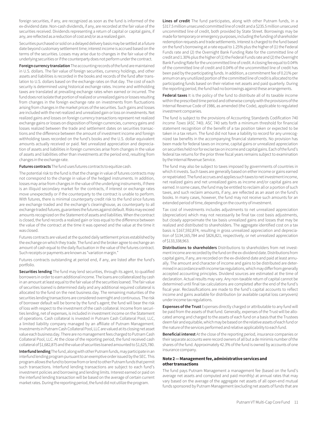foreign securities, if any, are recognized as soon as the fund is informed of the ex-dividend date. Non-cash dividends, if any, are recorded at the fair value of the securities received. Dividends representing a return of capital or capital gains, if any, are reflected as a reduction of cost and/or as a realized gain.

Securities purchased or sold on a delayed delivery basis may be settled at a future date beyond customary settlement time; interest income is accrued based on the terms of the securities. Losses may arise due to changes in the fair value of the underlying securities or if the counterparty does not perform under the contract.

**Foreign currency translation** The accounting records of the fund are maintained in U.S. dollars. The fair value of foreign securities, currency holdings, and other assets and liabilities is recorded in the books and records of the fund after translation to U.S. dollars based on the exchange rates on that day. The cost of each security is determined using historical exchange rates. Income and withholding taxes are translated at prevailing exchange rates when earned or incurred. The fund does not isolate that portion of realized or unrealized gains or losses resulting from changes in the foreign exchange rate on investments from fluctuations arising from changes in the market prices of the securities. Such gains and losses are included with the net realized and unrealized gain or loss on investments. Net realized gains and losses on foreign currency transactions represent net realized exchange gains or losses on disposition of foreign currencies, currency gains and losses realized between the trade and settlement dates on securities transactions and the difference between the amount of investment income and foreign withholding taxes recorded on the fund's books and the U.S. dollar equivalent amounts actually received or paid. Net unrealized appreciation and depreciation of assets and liabilities in foreign currencies arise from changes in the value of assets and liabilities other than investments at the period end, resulting from changes in the exchange rate.

**Futures contracts** The fund uses futures contracts to equitize cash.

The potential risk to the fund is that the change in value of futures contracts may not correspond to the change in value of the hedged instruments. In addition, losses may arise from changes in the value of the underlying instruments, if there is an illiquid secondary market for the contracts, if interest or exchange rates move unexpectedly or if the counterparty to the contract is unable to perform. With futures, there is minimal counterparty credit risk to the fund since futures are exchange traded and the exchange's clearinghouse, as counterparty to all exchange traded futures, guarantees the futures against default. Risks may exceed amounts recognized on the Statement of assets and liabilities. When the contract is closed, the fund records a realized gain or loss equal to the difference between the value of the contract at the time it was opened and the value at the time it was closed.

Futures contracts are valued at the quoted daily settlement prices established by the exchange on which they trade. The fund and the broker agree to exchange an amount of cash equal to the daily fluctuation in the value of the futures contract. Such receipts or payments are known as "variation margin."

Futures contracts outstanding at period end, if any, are listed after the fund's portfolio.

**Securities lending** The fund may lend securities, through its agent, to qualified borrowers in order to earn additional income. The loans are collateralized by cash in an amount at least equal to the fair value of the securities loaned. The fair value of securities loaned is determined daily and any additional required collateral is allocated to the fund on the next business day. The remaining maturities of the securities lending transactions are considered overnight and continuous. The risk of borrower default will be borne by the fund's agent; the fund will bear the risk of loss with respect to the investment of the cash collateral. Income from securities lending, net of expenses, is included in investment income on the Statement of operations. Cash collateral is invested in Putnam Cash Collateral Pool, LLC, a limited liability company managed by an affiliate of Putnam Management. Investments in Putnam Cash Collateral Pool, LLC are valued at its closing net asset value each business day. There are no management fees charged to Putnam Cash Collateral Pool, LLC. At the close of the reporting period, the fund received cash collateral of \$1,682,875 and the value of securities loaned amounted to \$1,625,780.

**Interfund lending** The fund, along with other Putnam funds, may participate in an interfund lending program pursuant to an exemptive order issued by the SEC. This program allows the fund to borrow from or lend to other Putnam funds that permit such transactions. Interfund lending transactions are subject to each fund's investment policies and borrowing and lending limits. Interest earned or paid on the interfund lending transaction will be based on the average of certain current market rates. During the reporting period, the fund did not utilize the program.

**Lines of credit** The fund participates, along with other Putnam funds, in a \$317.5 million unsecured committed line of credit and a \$235.5 million unsecured uncommitted line of credit, both provided by State Street. Borrowings may be made for temporary or emergency purposes, including the funding of shareholder redemption requests and trade settlements. Interest is charged to the fund based on the fund's borrowing at a rate equal to 1.25% plus the higher of (1) the Federal Funds rate and (2) the Overnight Bank Funding Rate for the committed line of credit and 1.30% plus the higher of (1) the Federal Funds rate and (2) the Overnight Bank Funding Rate for the uncommitted line of credit. A closing fee equal to 0.04% of the committed line of credit and 0.04% of the uncommitted line of credit has been paid by the participating funds. In addition, a commitment fee of 0.21% per annum on any unutilized portion of the committed line of credit is allocated to the participating funds based on their relative net assets and paid quarterly. During the reporting period, the fund had no borrowings against these arrangements.

**Federal taxes** It is the policy of the fund to distribute all of its taxable income within the prescribed time period and otherwise comply with the provisions of the Internal Revenue Code of 1986, as amended (the Code), applicable to regulated investment companies.

The fund is subject to the provisions of Accounting Standards Codification 740 *Income Taxes* (ASC 740). ASC 740 sets forth a minimum threshold for financial statement recognition of the benefit of a tax position taken or expected to be taken in a tax return. The fund did not have a liability to record for any unrecognized tax benefits in the accompanying financial statements. No provision has been made for federal taxes on income, capital gains or unrealized appreciation on securities held nor for excise tax on income and capital gains. Each of the fund's federal tax returns for the prior three fiscal years remains subject to examination by the Internal Revenue Service.

The fund may also be subject to taxes imposed by governments of countries in which it invests. Such taxes are generally based on either income or gains earned or repatriated. The fund accrues and applies such taxes to net investment income, net realized gains and net unrealized gains as income and/or capital gains are earned. In some cases, the fund may be entitled to reclaim all or a portion of such taxes, and such reclaim amounts, if any, are reflected as an asset on the fund's books. In many cases, however, the fund may not receive such amounts for an extended period of time, depending on the country of investment.

Tax cost of investments includes adjustments to net unrealized appreciation (depreciation) which may not necessarily be final tax cost basis adjustments, but closely approximate the tax basis unrealized gains and losses that may be realized and distributed to shareholders. The aggregate identified cost on a tax basis is \$167,592,874, resulting in gross unrealized appreciation and depreciation of \$134,165,784 and \$826,821, respectively, or net unrealized appreciation of \$133,338,963.

**Distributions to shareholders** Distributions to shareholders from net investment income are recorded by the fund on the ex-dividend date. Distributions from capital gains, if any, are recorded on the ex-dividend date and paid at least annually. The amount and character of income and gains to be distributed are determined in accordance with income tax regulations, which may differ from generally accepted accounting principles. Dividend sources are estimated at the time of declaration. Actual results may vary. Any non-taxable return of capital cannot be determined until final tax calculations are completed after the end of the fund's fiscal year. Reclassifications are made to the fund's capital accounts to reflect income and gains available for distribution (or available capital loss carryovers) under income tax regulations.

**Expenses of the Trust** Expenses directly charged or attributable to any fund will be paid from the assets of that fund. Generally, expenses of the Trust will be allocated among and charged to the assets of each fund on a basis that the Trustees deem fair and equitable, which may be based on the relative assets of each fund or the nature of the services performed and relative applicability to each fund.

**Beneficial interest** At the close of the reporting period, insurance companies or their separate accounts were record owners of all but a de minimis number of the shares of the fund. Approximately 42.3% of the fund is owned by accounts of one insurance company.

#### **Note 2 — Management fee, administrative services and other transactions**

The fund pays Putnam Management a management fee (based on the fund's average net assets and computed and paid monthly) at annual rates that may vary based on the average of the aggregate net assets of all open-end mutual funds sponsored by Putnam Management (excluding net assets of funds that are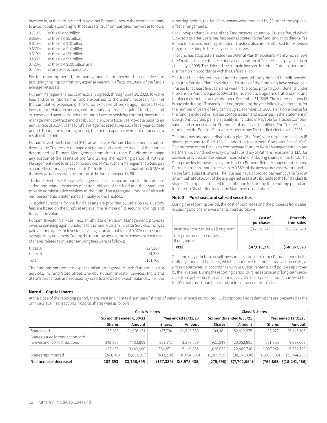invested in, or that are invested in by, other Putnam funds to the extent necessary to avoid "double counting" of those assets). Such annual rates may vary as follows:

0.710% of the first \$5 billion, 0.660% of the next \$5 billion, 0.610% of the next \$10 billion, 0.560% of the next \$10 billion, 0.510% of the next \$50 billion, 0.490% of the next \$50 billion, 0.480% of the next \$100 billion and 0.475% of any excess thereafter.

For the reporting period, the management fee represented an effective rate (excluding the impact from any expense waivers in effect) of 0.268% of the fund's average net assets.

Putnam Management has contractually agreed, through April 30, 2023, to waive fees and/or reimburse the fund's expenses to the extent necessary to limit the cumulative expenses of the fund, exclusive of brokerage, interest, taxes, investment-related expenses, extraordinary expenses, acquired fund fees and expenses and payments under the fund's investor servicing contract, investment management contract and distribution plan, on a fiscal year-to-date basis to an annual rate of 0.20% of the fund's average net assets over such fiscal year-to-date period. During the reporting period, the fund's expenses were not reduced as a result of this limit.

Putnam Investments Limited (PIL), an affiliate of Putnam Management, is authorized by the Trustees to manage a separate portion of the assets of the fund as determined by Putnam Management from time to time. PIL did not manage any portion of the assets of the fund during the reporting period. If Putnam Management were to engage the services of PIL, Putnam Management would pay a quarterly sub-management fee to PIL for its services at an annual rate of 0.35% of the average net assets of the portion of the fund managed by PIL.

The fund reimburses Putnam Management an allocated amount for the compensation and related expenses of certain officers of the fund and their staff who provide administrative services to the fund. The aggregate amount of all such reimbursements is determined annually by the Trustees.

Custodial functions for the fund's assets are provided by State Street. Custody fees are based on the fund's asset level, the number of its security holdings and transaction volumes.

Putnam Investor Services, Inc., an affiliate of Putnam Management, provides investor servicing agent functions to the fund. Putnam Investor Services, Inc. was paid a monthly fee for investor servicing at an annual rate of 0.07% of the fund's average daily net assets. During the reporting period, the expenses for each class of shares related to investor servicing fees were as follows:

| Class IA | \$27,387  |
|----------|-----------|
| Class IB | 74.379    |
| Total    | \$101.766 |

The fund has entered into expense offset arrangements with Putnam Investor Services, Inc. and State Street whereby Putnam Investor Services, Inc.'s and State Street's fees are reduced by credits allowed on cash balances. For the

#### **Note 4 — Capital shares**

reporting period, the fund's expenses were reduced by \$8 under the expense offset arrangements.

Each Independent Trustee of the fund receives an annual Trustee fee, of which \$194, as a quarterly retainer, has been allocated to the fund, and an additional fee for each Trustees meeting attended. Trustees also are reimbursed for expenses they incur relating to their services as Trustees.

The fund has adopted a Trustee Fee Deferral Plan (the Deferral Plan) which allows the Trustees to defer the receipt of all or a portion of Trustees fees payable on or after July 1, 1995. The deferred fees remain invested in certain Putnam funds until distribution in accordance with the Deferral Plan.

The fund has adopted an unfunded noncontributory defined benefit pension plan (the Pension Plan) covering all Trustees of the fund who have served as a Trustee for at least five years and were first elected prior to 2004. Benefits under the Pension Plan are equal to 50% of the Trustee's average annual attendance and retainer fees for the three years ended December 31, 2005. The retirement benefit is payable during a Trustee's lifetime, beginning the year following retirement, for the number of years of service through December 31, 2006. Pension expense for the fund is included in Trustee compensation and expenses in the Statement of operations. Accrued pension liability is included in Payable for Trustee compensation and expenses in the Statement of assets and liabilities. The Trustees have terminated the Pension Plan with respect to any Trustee first elected after 2003.

The fund has adopted a distribution plan (the Plan) with respect to its class IB shares pursuant to Rule 12b–1 under the Investment Company Act of 1940. The purpose of the Plan is to compensate Putnam Retail Management Limited Partnership, an indirect wholly-owned subsidiary of Putnam Investments, LLC, for services provided and expenses incurred in distributing shares of the fund. The Plan provides for payment by the fund to Putnam Retail Management Limited Partnership at an annual rate of up to 0.35% of the average net assets attributable to the fund's class IB shares. The Trustees have approved payment by the fund at an annual rate of 0.25% of the average net assets attributable to the fund's class IB shares. The expenses related to distribution fees during the reporting period are included in Distribution fees in the Statement of operations.

#### **Note 3 — Purchases and sales of securities**

During the reporting period, the cost of purchases and the proceeds from sales, excluding short-term investments, were as follows:

|                                           | Cost of<br>purchases | Proceeds<br>from sales |
|-------------------------------------------|----------------------|------------------------|
| Investments in securities (Long-term)     | \$47,018,278         | \$68,557,570           |
| U.S. government securities<br>(Long-term) |                      |                        |
| Total                                     | \$47,018,278         | \$68,557,570           |

The fund may purchase or sell investments from or to other Putnam funds in the ordinary course of business, which can reduce the fund's transaction costs, at prices determined in accordance with SEC requirements and policies approved by the Trustees. During the reporting period, purchases or sales of long-term securities from or to other Putnam funds, if any, did not represent more than 5% of the fund's total cost of purchases and/or total proceeds from sales.

At the close of the reporting period, there were an unlimited number of shares of beneficial interest authorized. Subscriptions and redemptions are presented at the omnibus level. Transactions in capital shares were as follows:

|                                                                   | <b>Class IA shares</b>   |             |                     |               |               | Class IB shares          |                     |                                  |
|-------------------------------------------------------------------|--------------------------|-------------|---------------------|---------------|---------------|--------------------------|---------------------|----------------------------------|
|                                                                   | Six months ended 6/30/21 |             | Year ended 12/31/20 |               |               | Six months ended 6/30/21 | Year ended 12/31/20 |                                  |
|                                                                   | <b>Shares</b>            | Amount      | <b>Shares</b>       | Amount        | <b>Shares</b> | Amount                   | <b>Shares</b>       | Amount                           |
| Shares sold                                                       | 83.616                   | \$1,926,151 | 107,700             | \$1,842,339   | 104,484       | \$2,412,875              | 405,077             | \$6,415,106                      |
| Shares issued in connection with<br>reinvestment of distributions | 342,822                  | 7,483,809   | 227,171             | 3,273,529     | 921,548       | 20,052,891               | 631,965             | 9,087,663                        |
|                                                                   | 426,438                  | 9,409,960   | 334,871             | 5,115,868     | 1,026,032     | 22,465,766               | 1,037,042           | 15,502,769                       |
| Shares repurchased                                                | (243, 745)               | (5,613,265) | (492, 210)          | (9,094,303)   | (1,305,730)   | (30, 167, 830)           | (1,806,905)         | (33,744,255)                     |
| Net increase (decrease)                                           | 182.693                  | \$3,796,695 | (157, 339)          | \$(3,978,435) | (279, 698)    | \$(7,702,064)            |                     | $(769, 863)$ \$ $(18, 241, 486)$ |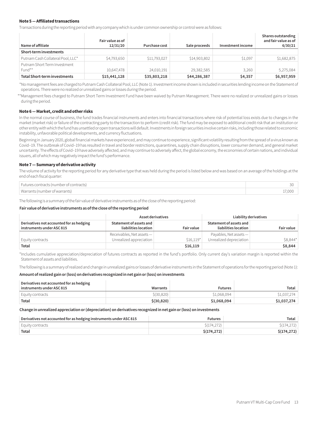#### **Note 5 — Affiliated transactions**

Transactions during the reporting period with any company which is under common ownership or control were as follows:

| Name of affiliate                      | Fair value as of<br>12/31/20 | Purchase cost | Sale proceeds | Investment income | Shares outstanding<br>and fair value as of<br>6/30/21 |
|----------------------------------------|------------------------------|---------------|---------------|-------------------|-------------------------------------------------------|
| Short-term investments                 |                              |               |               |                   |                                                       |
| Putnam Cash Collateral Pool, LLC*      | \$4,793,650                  | \$11,793,027  | \$14,903,802  | \$1,097           | \$1,682,875                                           |
| Putnam Short Term Investment<br>Fund** | 10,647,478                   | 24,010,191    | 29,382,585    | 3.260             | 5,275,084                                             |
| <b>Total Short-term investments</b>    | \$15,441,128                 | \$35,803,218  | \$44,286,387  | \$4,357           | \$6,957,959                                           |

\*No management fees are charged to Putnam Cash Collateral Pool, LLC (Note 1). Investment income shown is included in securities lending income on the Statement of operations. There were no realized or unrealized gains or losses during the period.

\*\*Management fees charged to Putnam Short Term Investment Fund have been waived by Putnam Management. There were no realized or unrealized gains or losses during the period.

#### **Note 6 — Market, credit and other risks**

In the normal course of business, the fund trades financial instruments and enters into financial transactions where risk of potential loss exists due to changes in the market (market risk) or failure of the contracting party to the transaction to perform (credit risk). The fund may be exposed to additional credit risk that an institution or other entity with which the fund has unsettled or open transactions will default.Investments in foreign securities involve certain risks, including those related to economic instability, unfavorable political developments, and currency fluctuations.

Beginning in January 2020, global financial markets have experienced, and may continue to experience, significant volatility resulting from the spread of a virus known as Covid–19. The outbreak of Covid–19 has resulted in travel and border restrictions, quarantines, supply chain disruptions, lower consumer demand, and general market uncertainty. The effects of Covid–19 have adversely affected, and may continue to adversely affect, the global economy, the economies of certain nations, and individual issuers, all of which may negatively impact the fund's performance.

#### **Note 7 — Summary of derivative activity**

The volume of activity for the reporting period for any derivative type that was held during the period is listed below and was based on an average of the holdings at the end of each fiscal quarter:

| Futures contracts (number of contracts) |       |
|-----------------------------------------|-------|
| Warrants (number of warrants)           | 7 NOC |

The following is a summary of the fair value of derivative instruments as of the close of the reporting period:

#### **Fair value of derivative instruments as of the close of the reporting period**

|                                                                       | Asset derivatives                                    |                   | Liability derivatives                            |                   |
|-----------------------------------------------------------------------|------------------------------------------------------|-------------------|--------------------------------------------------|-------------------|
| Derivatives not accounted for as hedging<br>instruments under ASC 815 | Statement of assets and<br>liabilities location      | <b>Fair value</b> | Statement of assets and<br>liabilities location  | <b>Fair value</b> |
| Equity contracts                                                      | Receivables, Net assets -<br>Unrealized appreciation | $$16.119*$        | Payables, Net assets-<br>Unrealized depreciation | \$8,844*          |
| Total                                                                 |                                                      | \$16,119          |                                                  | \$8,844           |

\*Includes cumulative appreciation/depreciation of futures contracts as reported in the fund's portfolio. Only current day's variation margin is reported within the Statement of assets and liabilities.

The following is a summary of realized and change in unrealized gains or losses of derivative instruments in the Statement of operations for the reporting period (Note 1):

#### **Amount of realized gain or (loss) on derivatives recognized in net gain or (loss) on investments**

| Derivatives not accounted for as hedging |              |                |             |
|------------------------------------------|--------------|----------------|-------------|
| instruments under ASC 815                | Warrants     | <b>Futures</b> | Total       |
| <sup>1</sup> Equity contracts            | \$ (30, 820) | \$1,068,094    | S1.037.274  |
| Total                                    | \$ (30, 820) | \$1,068,094    | \$1,037,274 |

**Change in unrealized appreciation or (depreciation) on derivatives recognized in net gain or (loss) on investments**

| Derivatives not accounted for as hedging instruments under ASC 815 | <b>Futures</b> | Total        |
|--------------------------------------------------------------------|----------------|--------------|
| Equity contracts                                                   | \$(174, 272)   | 5(174,272)   |
| <b>Total</b>                                                       | \$(174, 272)   | \$(174, 272) |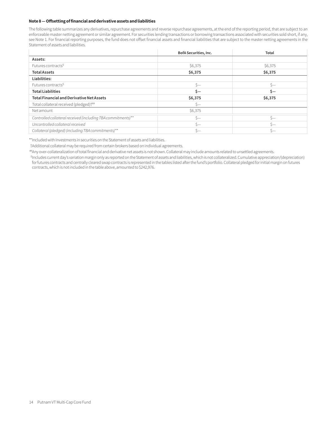#### **Note 8 — Offsetting of financial and derivative assets and liabilities**

The following table summarizes any derivatives, repurchase agreements and reverse repurchase agreements, at the end of the reporting period, that are subject to an enforceable master netting agreement or similar agreement. For securities lending transactions or borrowing transactions associated with securities sold short, if any, see Note 1. For financial reporting purposes, the fund does not offset financial assets and financial liabilities that are subject to the master netting agreements in the Statement of assets and liabilities.

|                                                              | BofA Securities, Inc. | Total     |
|--------------------------------------------------------------|-----------------------|-----------|
| Assets:                                                      |                       |           |
| Futures contracts <sup>§</sup>                               | \$6,375               | \$6,375   |
| <b>Total Assets</b>                                          | \$6,375               | \$6,375   |
| Liabilities:                                                 |                       |           |
| Futures contracts <sup>§</sup>                               | $S-$                  | Ś—        |
| <b>Total Liabilities</b>                                     | Ś-                    | Ś-        |
| <b>Total Financial and Derivative Net Assets</b>             | \$6,375               | \$6,375   |
| Total collateral received (pledged) <sup>†##</sup>           | $S-$                  |           |
| Net amount                                                   | \$6,375               |           |
| Controlled collateral received (including TBA commitments)** | Š—                    | $\zeta-$  |
| Uncontrolled collateral received                             | $\zeta$ —             | $\zeta$ — |
| Collateral (pledged) (including TBA commitments)**           | ς—                    | $S-$      |

\*\*Included with Investments in securities on the Statement of assets and liabilities.

†Additional collateral may be required from certain brokers based on individual agreements.

##Any over-collateralization of total financial and derivative net assets is not shown. Collateral may include amounts related to unsettled agreements.

§ Includes current day's variation margin only as reported on the Statement of assets and liabilities, which is not collateralized. Cumulative appreciation/(depreciation) for futures contracts and centrally cleared swap contracts is represented in the tables listed after the fund's portfolio. Collateral pledged for initial margin on futures contracts, which is not included in the table above, amounted to \$242,976.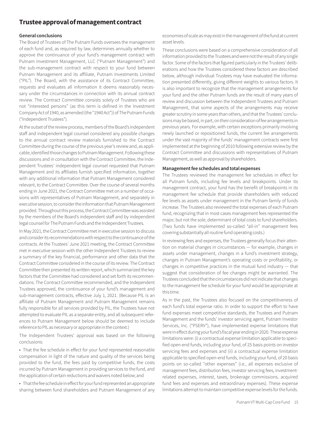## **Trustee approval of management contract**

#### **General conclusions**

The Board of Trustees of The Putnam Funds oversees the management of each fund and, as required by law, determines annually whether to approve the continuance of your fund's management contract with Putnam Investment Management, LLC ("Putnam Management") and the sub-management contract with respect to your fund between Putnam Management and its affiliate, Putnam Investments Limited ("PIL"). The Board, with the assistance of its Contract Committee, requests and evaluates all information it deems reasonably necessary under the circumstances in connection with its annual contract review. The Contract Committee consists solely of Trustees who are not "interested persons" (as this term is defined in the Investment Company Act of 1940, as amended (the "1940 Act")) of The Putnam Funds ("Independent Trustees").

At the outset of the review process, members of the Board's independent staff and independent legal counsel considered any possible changes to the annual contract review materials furnished to the Contract Committee during the course of the previous year's review and, as applicable, identified those changes to Putnam Management. Following these discussions and in consultation with the Contract Committee, the Independent Trustees' independent legal counsel requested that Putnam Management and its affiliates furnish specified information, together with any additional information that Putnam Management considered relevant, to the Contract Committee. Over the course of several months ending in June 2021, the Contract Committee met on a number of occasions with representatives of Putnam Management, and separately in executive session, to consider the information that Putnam Management provided. Throughout this process, the Contract Committee was assisted by the members of the Board's independent staff and by independent legal counsel for The Putnam Funds and the Independent Trustees.

In May 2021, the Contract Committee met in executive session to discuss and consider its recommendations with respect to the continuance of the contracts. At the Trustees' June 2021 meeting, the Contract Committee met in executive session with the other Independent Trustees to review a summary of the key financial, performance and other data that the Contract Committee considered in the course of its review. The Contract Committee then presented its written report, which summarized the key factors that the Committee had considered and set forth its recommendations. The Contract Committee recommended, and the Independent Trustees approved, the continuance of your fund's management and sub-management contracts, effective July 1, 2021. (Because PIL is an affiliate of Putnam Management and Putnam Management remains fully responsible for all services provided by PIL, the Trustees have not attempted to evaluate PIL as a separate entity, and all subsequent references to Putnam Management below should be deemed to include reference to PIL as necessary or appropriate in the context.)

The Independent Trustees' approval was based on the following conclusions:

• That the fee schedule in effect for your fund represented reasonable compensation in light of the nature and quality of the services being provided to the fund, the fees paid by competitive funds, the costs incurred by Putnam Management in providing services to the fund, and the application of certain reductions and waivers noted below; and

• That the fee schedule in effect for your fund represented an appropriate sharing between fund shareholders and Putnam Management of any economies of scale as may exist in the management of the fund at current asset levels.

These conclusions were based on a comprehensive consideration of all information provided to the Trustees and were not the result of any single factor. Some of the factors that figured particularly in the Trustees' deliberations and how the Trustees considered these factors are described below, although individual Trustees may have evaluated the information presented differently, giving different weights to various factors. It is also important to recognize that the management arrangements for your fund and the other Putnam funds are the result of many years of review and discussion between the Independent Trustees and Putnam Management, that some aspects of the arrangements may receive greater scrutiny in some years than others, and that the Trustees' conclusions may be based, in part, on their consideration of fee arrangements in previous years. For example, with certain exceptions primarily involving newly launched or repositioned funds, the current fee arrangements under the vast majority of the funds' management contracts were first implemented at the beginning of 2010 following extensive review by the Contract Committee and discussions with representatives of Putnam Management, as well as approval by shareholders.

#### **Management fee schedules and total expenses**

The Trustees reviewed the management fee schedules in effect for all Putnam funds, including fee levels and breakpoints. Under its management contract, your fund has the benefit of breakpoints in its management fee schedule that provide shareholders with reduced fee levels as assets under management in the Putnam family of funds increase. The Trustees also reviewed the total expenses of each Putnam fund, recognizing that in most cases management fees represented the major, but not the sole, determinant of total costs to fund shareholders. (Two funds have implemented so-called "all-in" management fees covering substantially all routine fund operating costs.)

In reviewing fees and expenses, the Trustees generally focus their attention on material changes in circumstances — for example, changes in assets under management, changes in a fund's investment strategy, changes in Putnam Management's operating costs or profitability, or changes in competitive practices in the mutual fund industry — that suggest that consideration of fee changes might be warranted. The Trustees concluded that the circumstances did not indicate that changes to the management fee schedule for your fund would be appropriate at this time.

As in the past, the Trustees also focused on the competitiveness of each fund's total expense ratio. In order to support the effort to have fund expenses meet competitive standards, the Trustees and Putnam Management and the funds' investor servicing agent, Putnam Investor Services, Inc. ("PSERV"), have implemented expense limitations that were in effect during your fund's fiscal year ending in 2020. These expense limitations were: (i) a contractual expense limitation applicable to specified open-end funds, including your fund, of 25 basis points on investor servicing fees and expenses and (ii) a contractual expense limitation applicable to specified open-end funds, including your fund, of 20 basis points on so-called "other expenses" (i.e., all expenses exclusive of management fees, distribution fees, investor servicing fees, investmentrelated expenses, interest, taxes, brokerage commissions, acquired fund fees and expenses and extraordinary expenses). These expense limitations attempt to maintain competitive expense levels for the funds.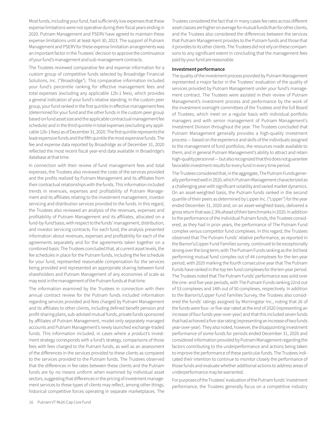Most funds, including your fund, had sufficiently low expenses that these expense limitations were not operative during their fiscal years ending in 2020. Putnam Management and PSERV have agreed to maintain these expense limitations until at least April 30, 2023. The support of Putnam Management and PSERV for these expense limitation arrangements was an important factor in the Trustees' decision to approve the continuance of your fund's management and sub-management contracts.

The Trustees reviewed comparative fee and expense information for a custom group of competitive funds selected by Broadridge Financial Solutions, Inc. ("Broadridge"). This comparative information included your fund's percentile ranking for effective management fees and total expenses (excluding any applicable 12b-1 fees), which provides a general indication of your fund's relative standing. In the custom peer group, your fund ranked in the first quintile in effective management fees (determined for your fund and the other funds in the custom peer group based on fund asset size and the applicable contractual management fee schedule) and in the third quintile in total expenses (excluding any applicable 12b-1 fees) as of December 31, 2020. The first quintile represents the least expensive funds and the fifth quintile the most expensive funds. The fee and expense data reported by Broadridge as of December 31, 2020 reflected the most recent fiscal year-end data available in Broadridge's database at that time.

In connection with their review of fund management fees and total expenses, the Trustees also reviewed the costs of the services provided and the profits realized by Putnam Management and its affiliates from their contractual relationships with the funds. This information included trends in revenues, expenses and profitability of Putnam Management and its affiliates relating to the investment management, investor servicing and distribution services provided to the funds. In this regard, the Trustees also reviewed an analysis of the revenues, expenses and profitability of Putnam Management and its affiliates, allocated on a fund-by-fund basis, with respect to the funds' management, distribution, and investor servicing contracts. For each fund, the analysis presented information about revenues, expenses and profitability for each of the agreements separately and for the agreements taken together on a combined basis. The Trustees concluded that, at current asset levels, the fee schedules in place for the Putnam funds, including the fee schedule for your fund, represented reasonable compensation for the services being provided and represented an appropriate sharing between fund shareholders and Putnam Management of any economies of scale as may exist in the management of the Putnam funds at that time.

The information examined by the Trustees in connection with their annual contract review for the Putnam funds included information regarding services provided and fees charged by Putnam Management and its affiliates to other clients, including defined benefit pension and profit-sharing plans, sub-advised mutual funds, private funds sponsored by affiliates of Putnam Management, model-only separately managed accounts and Putnam Management's newly launched exchange-traded funds. This information included, in cases where a product's investment strategy corresponds with a fund's strategy, comparisons of those fees with fees charged to the Putnam funds, as well as an assessment of the differences in the services provided to these clients as compared to the services provided to the Putnam funds. The Trustees observed that the differences in fee rates between these clients and the Putnam funds are by no means uniform when examined by individual asset sectors, suggesting that differences in the pricing of investment management services to these types of clients may reflect, among other things, historical competitive forces operating in separate marketplaces. The

Trustees considered the fact that in many cases fee rates across different asset classes are higher on average for mutual funds than for other clients, and the Trustees also considered the differences between the services that Putnam Management provides to the Putnam funds and those that it provides to its other clients. The Trustees did not rely on these comparisons to any significant extent in concluding that the management fees paid by your fund are reasonable.

#### **Investment performance**

The quality of the investment process provided by Putnam Management represented a major factor in the Trustees' evaluation of the quality of services provided by Putnam Management under your fund's management contract. The Trustees were assisted in their review of Putnam Management's investment process and performance by the work of the investment oversight committees of the Trustees and the full Board of Trustees, which meet on a regular basis with individual portfolio managers and with senior management of Putnam Management's Investment Division throughout the year. The Trustees concluded that Putnam Management generally provides a high-quality investment process — based on the experience and skills of the individuals assigned to the management of fund portfolios, the resources made available to them, and in general Putnam Management's ability to attract and retain high-quality personnel — but also recognized that this does not guarantee favorable investment results for every fund in every time period.

The Trustees considered that, in the aggregate, The Putnam Funds generally performed well in 2020, which Putnam Management characterized as a challenging year with significant volatility and varied market dynamics. On an asset-weighted basis, the Putnam funds ranked in the second quartile of their peers as determined by Lipper Inc. ("Lipper") for the year ended December 31, 2020 and, on an asset-weighted-basis, delivered a gross return that was 2.3% ahead of their benchmarks in 2020. In addition to the performance of the individual Putnam funds, the Trustees considered, as they had in prior years, the performance of The Putnam Fund complex versus competitor fund complexes. In this regard, the Trustees observed that The Putnam Funds' relative performance, as reported in the Barron's/Lipper Fund Families survey, continued to be exceptionally strong over the long term, with The Putnam Funds ranking as the 3rd best performing mutual fund complex out of 44 complexes for the ten-year period, with 2020 marking the fourth consecutive year that The Putnam Funds have ranked in the top ten fund complexes for the ten-year period. The Trustees noted that The Putnam Funds' performance was solid over the one- and five-year periods, with The Putnam Funds ranking 22nd out of 53 complexes and 14th out of 50 complexes, respectively. In addition to the Barron's/Lipper Fund Families Survey, the Trustees also considered the funds' ratings assigned by Morningstar Inc., noting that 26 of the funds were four- or five-star rated at the end of 2020 (representing an increase of four funds year-over-year) and that this included seven funds that had achieved a five-star rating (representing an increase of two funds year-over-year). They also noted, however, the disappointing investment performance of some funds for periods ended December 31, 2020 and considered information provided by Putnam Management regarding the factors contributing to the underperformance and actions being taken to improve the performance of these particular funds. The Trustees indicated their intention to continue to monitor closely the performance of those funds and evaluate whether additional actions to address areas of underperformance may be warranted.

For purposes of the Trustees' evaluation of the Putnam funds' investment performance, the Trustees generally focus on a competitive industry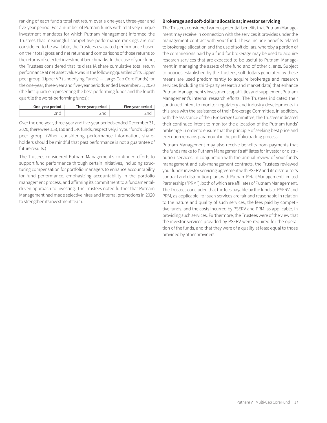ranking of each fund's total net return over a one-year, three-year and five-year period. For a number of Putnam funds with relatively unique investment mandates for which Putnam Management informed the Trustees that meaningful competitive performance rankings are not considered to be available, the Trustees evaluated performance based on their total gross and net returns and comparisons of those returns to the returns of selected investment benchmarks. In the case of your fund, the Trustees considered that its class IA share cumulative total return performance at net asset value was in the following quartiles of its Lipper peer group (Lipper VP (Underlying Funds) — Large-Cap Core Funds) for the one-year, three-year and five-year periods ended December 31, 2020 (the first quartile representing the best-performing funds and the fourth quartile the worst-performing funds):

| One-year period | Three-year period | Five-year period |
|-----------------|-------------------|------------------|
| 'nd             |                   |                  |

Over the one-year, three-year and five-year periods ended December 31, 2020, there were 158, 150 and 140 funds, respectively, in your fund's Lipper peer group. (When considering performance information, shareholders should be mindful that past performance is not a guarantee of future results.)

The Trustees considered Putnam Management's continued efforts to support fund performance through certain initiatives, including structuring compensation for portfolio managers to enhance accountability for fund performance, emphasizing accountability in the portfolio management process, and affirming its commitment to a fundamentaldriven approach to investing. The Trustees noted further that Putnam Management had made selective hires and internal promotions in 2020 to strengthen its investment team.

#### **Brokerage and soft-dollar allocations; investor servicing**

The Trustees considered various potential benefits that Putnam Management may receive in connection with the services it provides under the management contract with your fund. These include benefits related to brokerage allocation and the use of soft dollars, whereby a portion of the commissions paid by a fund for brokerage may be used to acquire research services that are expected to be useful to Putnam Management in managing the assets of the fund and of other clients. Subject to policies established by the Trustees, soft dollars generated by these means are used predominantly to acquire brokerage and research services (including third-party research and market data) that enhance Putnam Management's investment capabilities and supplement Putnam Management's internal research efforts. The Trustees indicated their continued intent to monitor regulatory and industry developments in this area with the assistance of their Brokerage Committee. In addition, with the assistance of their Brokerage Committee, the Trustees indicated their continued intent to monitor the allocation of the Putnam funds' brokerage in order to ensure that the principle of seeking best price and execution remains paramount in the portfolio trading process.

Putnam Management may also receive benefits from payments that the funds make to Putnam Management's affiliates for investor or distribution services. In conjunction with the annual review of your fund's management and sub-management contracts, the Trustees reviewed your fund's investor servicing agreement with PSERV and its distributor's contract and distribution plans with Putnam Retail Management Limited Partnership ("PRM"), both of which are affiliates of Putnam Management. The Trustees concluded that the fees payable by the funds to PSERV and PRM, as applicable, for such services are fair and reasonable in relation to the nature and quality of such services, the fees paid by competitive funds, and the costs incurred by PSERV and PRM, as applicable, in providing such services. Furthermore, the Trustees were of the view that the investor services provided by PSERV were required for the operation of the funds, and that they were of a quality at least equal to those provided by other providers.